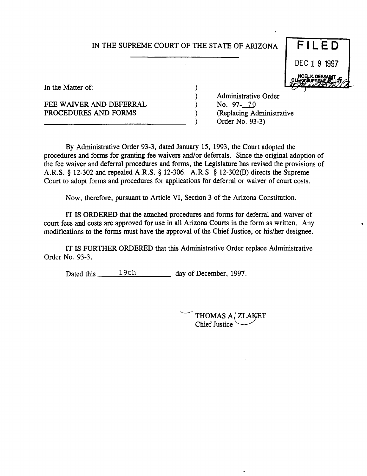#### IN THE SUPREME COURT OF THE STATE OF ARIZONA

) ) ) ) )



In the Matter of:

FEE WAIVER AND DEFERRAL PROCEDURES AND FORMS

Administrative Order No. 97- 70 (Replacing Administrative Order No. 93-3)

By Administrative Order 93-3, dated January 15, 1993, the Court adopted the procedures and forms for granting fee waivers and/or deferrals. Since the original adoption of the fee waiver and deferral procedures and forms, the Legislature has revised the provisions of A.R.S. § 12-302 and repealed A.R.S. § 12-306. A.R.S. § 12-302(B) directs the Supreme Court to adopt forms and procedures for applications for deferral or waiver of court costs.

Now, therefore, pursuant to Article VI, Section 3 of the Arizona Constitution.

IT IS ORDERED that the attached procedures and forms for deferral and waiver of court fees and costs are approved for use in all Arizona Courts in the form as written. Any modifications to the forms must have the approval of the Chief Justice, or his/her designee.

IT IS FURTHER ORDERED that this Administrative Order replace Administrative Order No. 93-3.

Dated this  $\frac{19th}{\pi}$  day of December, 1997.

'-----'"" THOMAS *Ai* ZLAKlET Chief Justice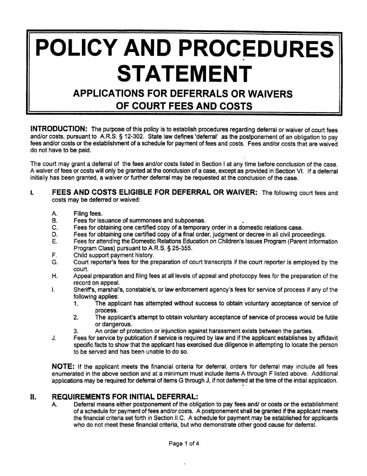# **POLICY AND PROCEDURES STATEMENT**

### **APPLICATIONS FOR DEFERRALS OR WAIVERS OF COURT FEES AND COSTS**

**INTRODUCTION:** The purpose of this policy is to establish procedures regarding deferral or waiver of court fees and/or costs, pursuant to A.R.S. § 12-302. State law defines 'deferral' as the postponement of an obligation to pay fees and/or costs or the establishment of a schedule for payment of fees and costs. Fees and/or costs that are waived do not have to be paid.

The court may grant a deferral of the fees and/or costs listed in Section I at any time before conclusion of the case. A waiver of fees or costs will only be granted at the conclusion of a case, except as provided in Section VI. If a deferral initially has been granted, a waiver or further deferral may be requested at the conclusion of the case.

#### I. **FEES AND COSTS ELIGIBLE FOR DEFERRAL OR WAIVER:** The following court fees and costs may be deferred or waived:

- A. Filing fees.
- B. Fees for issuance of summonses and subpoenas. •
- C. Fees for obtaining one certified copy of a temporary order in a domestic relations case.
- D. Fees for obtaining one certified copy of a final order, judgment or decree in all civil proceedings.
- E. Fees for attending the Domestic Relations Education on Children's Issues Program (Parent Information Program Class) pursuant to A.R.S. § 25-355.
- F. Child support payment history.
- G. Court reporter's fees for the preparation of court transcripts if the court reporter is employed by the court.
- H. Appeal preparation and filing fees at all levels of appeal and photocopy fees for the preparation of the record on appeal.
- I. Sheriffs, marshal's, constable's, or law enforcement agency's fees for service of process if any of the following applies:
	- 1. The applicant has attempted without success to obtain voluntary acceptance of service of process.
	- 2. The applicant's attempt to obtain voluntary acceptance of service of process would be futile or dangerous.
	- 3. An order of protection or injunction against harassment exists between the parties.
- J. Fees for service by publication if service is required by law and if the applicant establishes by affidavit specific facts to show that the applicant has exercised due diligence in attempting to locate the person to be served and has been unable to do so.

**NOTE:** If the applicant meets the financial criteria for deferral, orders for deferral may include all fees enumerated in the above section and at a minimum must include items A through F listed above. Additional applications may be required for deferral of items G through J, if not deferred at the time of the initial application.

#### **II. REQUIREMENTS FOR INITIAL DEFERRAL:**

A Deferral means either postponement of the obligation to pay fees and/ or costs or the establishment of a schedule for payment of fees and/or costs. A postponement shall be granted if the applicant meets the financial criteria set forth in Section II.C. A schedule for payment may be established for applicants who do not meet these financial criteria, but who demonstrate other good cause for deferral.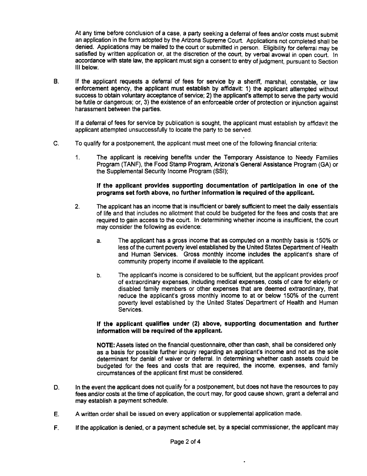At any time before conclusion of a case, a party seeking a deferral of fees and/or costs must submit an application in the form adopted by the Arizona Supreme Court. Applications not completed shall be denied. Applications may be mailed to the court or submitted in person. Eligibility for deferral may be satisfied by written application or, at the discretion of the court, by verbal avowal in open court. In accordance with state law, the applicant must sign a consent to entry of judgment, pursuant to Section III below.

B. If the applicant requests a deferral of fees for service by a sheriff, marshal, constable, or law enforcement agency, the applicant must establish by affidavit: 1} the applicant attempted without success to obtain voluntary acceptance of service; 2) the applicant's attempt to serve the party would be futile or dangerous; or, 3} the existence of an enforceable order of protection or injunction against harassment between the parties.

If a deferral of fees for service by publication is sought, the applicant must establish by affidavit the applicant attempted unsuccessfully to locate the party to be served.

- C. To qualify for a postponement, the applicant must meet one of the following financial criteria:
	- 1. The applicant is receiving benefits under the Temporary Assistance to Needy Families Program (TANF), the Food Stamp Program, Arizona's General Assistance Program (GA) or the Supplemental Security Income Program (SSI);

#### If the applicant provides supporting documentation of participation in one of the programs set forth above, no further information is required of the applicant.

- 2. The applicant has an income that is insufficient or barely sufficient to meet the daily essentials of life and that includes no allotment that could be budgeted for the fees and costs that are required to gain access to the court. In determining whether income is insufficient, the court may consider the following as evidence:
	- a. The applicant has a gross income that as computed on a monthly basis is 150% or less of the current poverty level established by the United States Department of Health and Human Services. Gross monthly income includes the applicant's share of community property income if available to the applicant.
	- b. The applicant's income is considered to be sufficient, but the applicant provides proof of extraordinary expenses, including medical expenses, costs of care for elderly or disabled family members or other expenses that are deemed extraordinary, that reduce the applicant's gross monthly income to at or below 150% of the current poverty level established by the United States' Department of Health and Human Services.

#### If the applicant qualifies under (2) above, supporting documentation and further information will be required of the applicant.

NOTE: Assets listed on the financial questionnaire, other than cash, shall be considered only as a basis for possible further inquiry regarding an applicant's income and not as the sole determinant for denial of waiver or deferral. In determining whether cash assets could be budgeted for the fees and costs that are required, the income, expenses, and family circumstances of the applicant first must be considered.

- D. In the event the applicant does not qualify for a postponement, but does not have the resources to pay fees and/or costs at the time of application, the court may, for good cause shown, grant a deferral and may establish a payment schedule.
- E. A written order shall be issued on every application or supplemental application made.
- F. If the application is denied, or a payment schedule set, by a special commissioner, the applicant may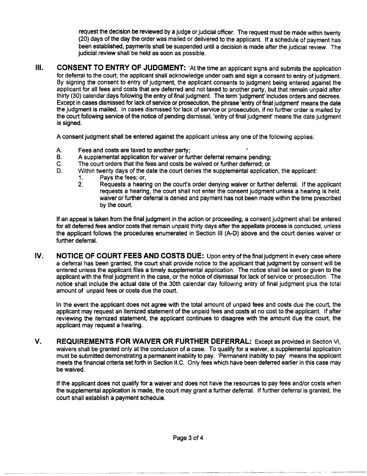request the decision be reviewed by a judge or judicial officer. The request must be made within twenty (20) days of the day the order was mailed or delivered to the applicant. If a schedule of payment has been established, payments shall be suspended until a decision is made after the judicial review. The judicial review shall be held as soon as possible.

**III.** CONSENT TO ENTRY OF JUDGMENT: `At the time an applicant signs and submits the application for deferral to the court, the applicant shall acknowledge under oath and sign a consent to entry of judgment. By signing the consent to entry of judgment, the applicant consents to judgment being entered against the applicant for all fees and costs that are deferred and not taxed to another party, but that remain unpaid after thirty (30) calendar days following the entry of final judgment. The term 'judgment' includes orders and decrees. Except in cases dismissed for lack of service or prosecution, the phrase 'entry of final judgment' means the date the judgment is mailed. In cases dismissed for lack of service or prosecution, if no further order is mailed by the court following service of the notice of pending dismissal, 'entry of final judgment' means the date judgment is signed.

A consent judgment shall be entered against the applicant unless anyone of the following applies:

- A. Fees and costs are taxed to another party;<br>B. A supplemental application for waiver or fur-
- B. A supplemental application for waiver or further deferral remains pending;<br>C. The court orders that the fees and costs be waived or further deferred; or
- C. The court orders that the fees and costs be waived or further deferred; or<br>D. Within twenty days of the date the court denies the supplemental application
- Within twenty days of the date the court denies the supplemental application, the applicant:<br>1. Pays the fees: or,
	- Pays the fees; or,
	- 2. Requests a hearing on the court's order denying waiver or further deferral. If the applicant requests a hearing, the court shall not enter the consent judgment unless a hearing is held, waiver or further deferral is denied and payment has not been made within the time prescribed by the court.

If an appeal is taken from the final judgment in the action or proceeding, a consent judgment shall be entered for all deferred fees and/or costs that remain unpaid thirty days after the appellate process is concluded, unless the applicant follows the procedures enumerated in Section III (A-D) above and the court denies waiver or further deferral.

**IV. NOTICE OF COURT FEES AND COSTS DUE:** Upon entry of the final judgment in every case where a deferral has been granted, the court shall provide notice to the applicant that judgment by consent will be entered unless the applicant files a timely supplemental application. The notice shall be sent or given to the applicant with the final judgment in the case, or the notice of dismissal for lack of service or prosecution. The notice shall include the actual date of the 30th calendar day following entry of final judgment plus the total amount of unpaid fees or costs due the court.

In the event the applicant does not agree with the total amount of unpaid fees and costs due the court, the applicant may request an itemized statement of the unpaid fees and costs at no cost to the applicant. If after reviewing the itemized statement, the applicant continues to disagree with the amount due the court, the applicant may request a hearing.

**V. REQUIREMENTS FOR WAIVER OR FURTHER DEFERRAL:** Except as provided in Section VI, waivers shall be granted only at the conclusion of a case. To qualify for a waiver, a supplemental application must be submitted demonstrating a permanent inability to pay. 'Permanent inability to pay' means the applicant meets the financial criteria set forth in Section II.C. Only fees which have been deferred earlier in this case may be waived.

If the applicant does not qualify for a waiver and does not have the resources to pay fees and/or costs when the supplemental application is made, the court may grant a further deferral. If further deferral is granted, the court shall establish a payment schedule.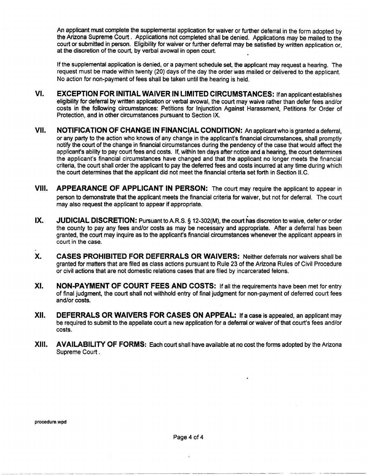An applicant must complete the supplemental application for waiver or further deferral in the form adopted by the Arizona Supreme Court. Applications not completed shall be denied. Applications may be mailed to the court or submitted in person. Eligibility for waiver or further deferral may be satisfied by written application or, at the discretion of the court, by verbal avowal in open court.

If the supplemental application is denied, or a payment schedule set, the applicant may request a hearing. The request must be made within twenty (20) days of the day the order was mailed or delivered to the applicant. No action for non-payment of fees shall be taken until the hearing is held.

- VI. EXCEPTION FOR INITIAL WAIVER IN LIMITED CIRCUMSTANCES: Ifan applicant establishes eligibility for deferral by written application or verbal avowal, the court may waive rather than defer fees and/or costs in the following circumstances: Petitions for Injunction Against Harassment, Petitions for Order of Protection, and in other circumstances pursuant to Section IX.
- VII. NOTIFICATION OF CHANGE IN FINANCIAL CONDITION: An applicant who is granted a deferral, or any party to the action who knows of any change in the applicant's financial circumstances, shall promptly notify the court of the change in financial circumstances during the pendency of the case that would affect the applicant's ability to pay court fees and costs. If, within ten days after notice and a hearing, the court determines the applicant's financial circumstances have changed and that the applicant no longer meets the financial criteria, the court shall order the applicant to pay the deferred fees and costs incurred at any time during which the court determines that the applicant did not meet the financial criteria set forth in Section II.C.
- VIII. APPEARANCE OF APPLICANT IN PERSON: The court may require the applicant to appear in person to demonstrate that the applicant meets the financial criteria for waiver, but not for deferral. The court may also request the applicant to appear if appropriate.
- IX. JUDICIAL DISCRETION: Pursuant to A.R.S. § 12-302(M), the court has discretion to waive, defer or order the county to pay any fees and/or costs as may be necessary and appropriate. After a deferral has been granted, the court may inquire as to the applicant's financial circumstances whenever the applicant appears in court in the case.
- X. CASES PROHIBITED FOR DEFERRALS OR WAIVERS: Neither deferrals nor waivers shall be granted for matters that are filed as class actions pursuant to Rule 23 of the Arizona Rules of Civil Procedure or civil actions that are not domestic relations cases that are filed by incarcerated felons.
- XI. NON-PAYMENT OF COURT FEES AND COSTS: If all the requirements have been met for entry of final jUdgment, the court shall not withhold entry of final judgment for non-payment of deferred court fees and/or costs.
- XII. DEFERRALS OR WAIVERS FOR CASES ON APPEAL: If a case is appealed, an applicant may be required to submit to the appellate court a new application for a deferral or waiver of that court's fees and/or costs.
- XIII. AVAILABILITY OF FORMS: Each court shall have available at no cost the forms adopted by the Arizona Supreme Court .

.~--- ---~---~--~- --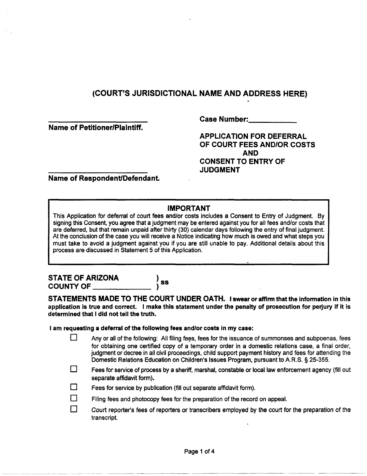Name of Petitioner/Plaintiff.

Case Number:

APPLICATION FOR DEFERRAL OF COURT FEES ANDIOR COSTS AND CONSENT TO ENTRY OF **JUDGMENT** 

Name of Respondent/Defendant.

#### IMPORTANT

This Application for deferral of court fees and/or costs includes a Consent to Entry of Judgment. By signing this Consent, you agree that a judgment may be entered against you for all fees and/or costs that are deferred, but that remain unpaid after thirty (30) calendar days following the entry of final judgment. At the conclusion of the case you will receive a Notice indicating how much is owed and what steps you must take to avoid a judgment against you if you are still unable to pay. Additional details about this process are discussed in Statement 5 of this Application.

# STATE OF ARIZONA  $\left.\begin{array}{ccc} \bullet & \bullet & \bullet \\ \bullet & \bullet & \bullet \end{array}\right)$ ss

STATEMENTS MADE TO THE COURT UNDER OATH. I swear or affirm that the information in this application is true and correct. I make this statement under the penalty of prosecution for perjury if it is determined that I did not tell the truth.

I am requesting a deferral of the following fees and/or costs in my case:

- Any or all of the following: All filing fees, fees for the issuance of summonses and subpoenas, fees for obtaining one certified copy of a temporary order in a domestic relations case, a final order, judgment or decree in all civil proceedings, child support payment history and fees for attending the Domestic Relations Education on Children's Issues Program, pursuant to A.R.S. § 25-355.
- $\Box$  Fees for service of process by a sheriff, marshal, constable or local law enforcement agency (fill out separate affidavit form).
- $\Box$  Fees for service by publication (fill out separate affidavit form).
- Filing fees and photocopy fees for the preparation of the record on appeal.
- $\square$  Court reporter's fees of reporters or transcribers employed by the court for the preparation of the transcript.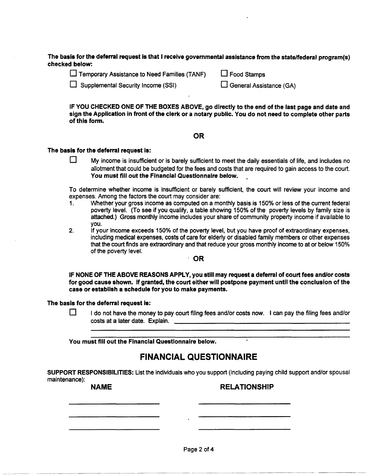The basis for the deferral request is that I receive governmental assistance from the state/federal program(s) checked below:

| Temporary Assistance to Need Families (TANF) | $\Box$ Food Stamps |
|----------------------------------------------|--------------------|
|----------------------------------------------|--------------------|

 $\Box$  Supplemental Security Income (SSI)  $\Box$  General Assistance (GA)

IF YOU CHECKED ONE OF THE BOXES ABOVE, go directly to the end of the last page and date and sign the Application in front of the clerk or a notary public. You do not need to complete other parts of this form.

#### OR

#### The basis for the deferral request is:

 $\Box$  My income is insufficient or is barely sufficient to meet the daily essentials of life, and includes no allotment that could be budgeted for the fees and costs that are required to gain access to the court. You must fill out the Financial Questionnaire below.

To determine whether income is insufficient or barely sufficient, the court will review your income and expenses. Among the factors the court may consider are:

- 1. Whether your gross income as computed on a monthly basis is 150% or less of the current federal poverty level. (To see if you qualify, a table showing 150% of the poverty levels by family size is attached.) Gross monthly income includes your share of community property income if available to you.
- 2. If your income exceeds 150% of the poverty level, but you have proof of extraordinary expenses, including medical expenses, costs of care for elderly or disabled family members or other expenses that the court finds are extraordinary and that reduce your gross monthly income to at or below 150% of the poverty level.

, OR

IF NONE OF THE ABOVE REASONS APPLY, you stili may request a deferral of court fees and/or costs for good cause shown. If granted, the court either will postpone payment until the conclusion of the case or establish a schedule for you to make payments.

The basis for the deferral request is:

 $\Box$  I do not have the money to pay court filing fees and/or costs now. I can pay the filing fees and/or costs at a later date. Explain.

You must fill out the Financial Questionnaire below.

#### FINANCIAL QUESTIONNAIRE

SUPPORT RESPONSIBILITIES: List the individuals who you support (including paying child support and/or spousal maintenance):

#### NAME RELATIONSHIP

 $~\cdot$   $~\cdot$   $~\cdot$   $~\cdot$   $~\cdot$   $~\cdot$   $~\cdot$   $~\cdot$   $~\cdot$   $~\cdot$   $~\cdot$   $~\cdot$   $~\cdot$   $~\cdot$   $~\cdot$   $~\cdot$   $~\cdot$   $~\cdot$   $~\cdot$   $~\cdot$   $~\cdot$   $~\cdot$   $~\cdot$   $~\cdot$   $~\cdot$   $~\cdot$   $~\cdot$   $~\cdot$   $~\cdot$   $~\cdot$   $~\cdot$   $~\cdot$   $~\cdot$   $~\cdot$   $~\cdot$   $~\cdot$   $~\cdot$ 

Page 2 of 4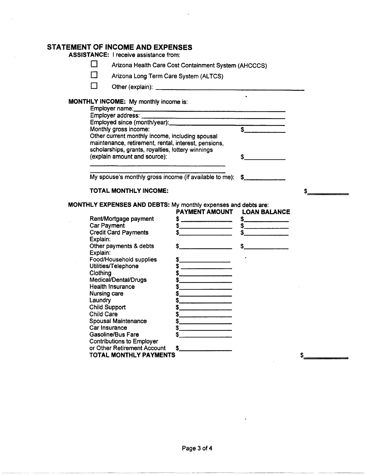#### **STATEMENT OF INCOME AND EXPENSES**

| $\blacksquare$<br>Arizona Health Care Cost Containment System (AHCCCS) |                                                                                                                                                                                                                                                                                                                                                                                                                          |               |    |
|------------------------------------------------------------------------|--------------------------------------------------------------------------------------------------------------------------------------------------------------------------------------------------------------------------------------------------------------------------------------------------------------------------------------------------------------------------------------------------------------------------|---------------|----|
| Arizona Long Term Care System (ALTCS)                                  |                                                                                                                                                                                                                                                                                                                                                                                                                          |               |    |
|                                                                        |                                                                                                                                                                                                                                                                                                                                                                                                                          |               |    |
| <b>MONTHLY INCOME:</b> My monthly income is:                           |                                                                                                                                                                                                                                                                                                                                                                                                                          |               |    |
|                                                                        |                                                                                                                                                                                                                                                                                                                                                                                                                          |               |    |
| Employer auxies.<br>Employed since (month/year): \$                    |                                                                                                                                                                                                                                                                                                                                                                                                                          |               |    |
|                                                                        |                                                                                                                                                                                                                                                                                                                                                                                                                          |               |    |
| Other current monthly income, including spousal                        |                                                                                                                                                                                                                                                                                                                                                                                                                          |               |    |
| maintenance, retirement, rental, interest, pensions,                   |                                                                                                                                                                                                                                                                                                                                                                                                                          |               |    |
| scholarships, grants, royalties, lottery winnings                      |                                                                                                                                                                                                                                                                                                                                                                                                                          |               |    |
| (explain amount and source):                                           |                                                                                                                                                                                                                                                                                                                                                                                                                          | $\mathbf{s}$  |    |
|                                                                        |                                                                                                                                                                                                                                                                                                                                                                                                                          |               |    |
|                                                                        |                                                                                                                                                                                                                                                                                                                                                                                                                          |               |    |
| My spouse's monthly gross income (if available to me): \$              |                                                                                                                                                                                                                                                                                                                                                                                                                          |               |    |
| TOTAL MONTHLY INCOME:                                                  |                                                                                                                                                                                                                                                                                                                                                                                                                          |               | \$ |
|                                                                        |                                                                                                                                                                                                                                                                                                                                                                                                                          |               |    |
| MONTHLY EXPENSES AND DEBTS: My monthly expenses and debts are:         |                                                                                                                                                                                                                                                                                                                                                                                                                          |               |    |
|                                                                        | PAYMENT AMOUNT LOAN BALANCE                                                                                                                                                                                                                                                                                                                                                                                              |               |    |
| Rent/Mortgage payment                                                  | $\frac{1}{2}$                                                                                                                                                                                                                                                                                                                                                                                                            | $\frac{1}{2}$ |    |
| <b>Car Payment</b>                                                     |                                                                                                                                                                                                                                                                                                                                                                                                                          |               |    |
| <b>Credit Card Payments</b>                                            | $\begin{array}{c c c c c} \hline \texttt{S} & \texttt{S} & \texttt{S} & \texttt{S} & \texttt{S} & \texttt{S} & \texttt{S} & \texttt{S} & \texttt{S} & \texttt{S} & \texttt{S} & \texttt{S} & \texttt{S} & \texttt{S} & \texttt{S} & \texttt{S} & \texttt{S} & \texttt{S} & \texttt{S} & \texttt{S} & \texttt{S} & \texttt{S} & \texttt{S} & \texttt{S} & \texttt{S} & \texttt{S} & \texttt{S} & \texttt{S} & \texttt{S}$ | $\frac{1}{2}$ |    |
| Explain:                                                               |                                                                                                                                                                                                                                                                                                                                                                                                                          |               |    |
| Other payments & debts                                                 | $\frac{1}{2}$                                                                                                                                                                                                                                                                                                                                                                                                            | $\frac{1}{2}$ |    |
| Explain:                                                               |                                                                                                                                                                                                                                                                                                                                                                                                                          |               |    |
| Food/Household supplies                                                | $\frac{1}{2}$                                                                                                                                                                                                                                                                                                                                                                                                            |               |    |
| Utilities/Telephone                                                    | $\frac{1}{2}$                                                                                                                                                                                                                                                                                                                                                                                                            |               |    |
| Clothing                                                               | $\frac{1}{2}$                                                                                                                                                                                                                                                                                                                                                                                                            |               |    |
| Medical/Dental/Drugs                                                   | $\begin{array}{c c c c c} \hline \texttt{S} & \texttt{S} & \texttt{S} & \texttt{S} & \texttt{S} & \texttt{S} & \texttt{S} & \texttt{S} & \texttt{S} & \texttt{S} & \texttt{S} & \texttt{S} & \texttt{S} & \texttt{S} & \texttt{S} & \texttt{S} & \texttt{S} & \texttt{S} & \texttt{S} & \texttt{S} & \texttt{S} & \texttt{S} & \texttt{S} & \texttt{S} & \texttt{S} & \texttt{S} & \texttt{S} & \texttt{S} & \texttt{S}$ |               |    |
| <b>Health Insurance</b>                                                | $\begin{picture}(20,20) \put(0,0){\line(1,0){10}} \put(15,0){\line(1,0){10}} \put(15,0){\line(1,0){10}} \put(15,0){\line(1,0){10}} \put(15,0){\line(1,0){10}} \put(15,0){\line(1,0){10}} \put(15,0){\line(1,0){10}} \put(15,0){\line(1,0){10}} \put(15,0){\line(1,0){10}} \put(15,0){\line(1,0){10}} \put(15,0){\line(1,0){10}} \put(15,0){\line(1$                                                                      |               |    |
| Nursing care                                                           | $\sim$                                                                                                                                                                                                                                                                                                                                                                                                                   |               |    |
| Laundry                                                                | $\frac{1}{2}$                                                                                                                                                                                                                                                                                                                                                                                                            |               |    |
| <b>Child Support</b>                                                   | $\sim$                                                                                                                                                                                                                                                                                                                                                                                                                   |               |    |
| <b>Child Care</b>                                                      | $\frac{1}{2}$                                                                                                                                                                                                                                                                                                                                                                                                            |               |    |
| <b>Spousal Maintenance</b>                                             | $\frac{1}{2}$                                                                                                                                                                                                                                                                                                                                                                                                            |               |    |
| Car Insurance                                                          | $\frac{1}{2}$                                                                                                                                                                                                                                                                                                                                                                                                            |               |    |
| <b>Gasoline/Bus Fare</b>                                               |                                                                                                                                                                                                                                                                                                                                                                                                                          |               |    |
| <b>Contributions to Employer</b>                                       |                                                                                                                                                                                                                                                                                                                                                                                                                          |               |    |
| or Other Retirement Account                                            | \$                                                                                                                                                                                                                                                                                                                                                                                                                       |               |    |
| TOTAL MONTHLY PAYMENTS                                                 |                                                                                                                                                                                                                                                                                                                                                                                                                          |               | \$ |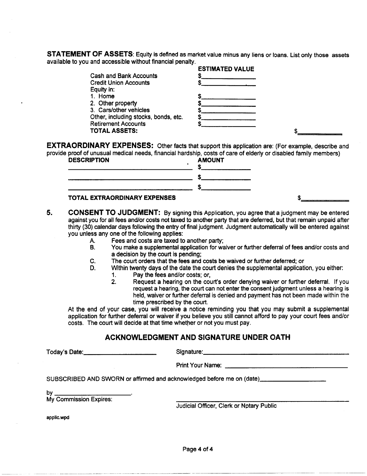STATEMENT OF ASSETS: Equity is defined as market value minus any liens or loans. List only those assets available to you and accessible without financial penalty.

|                                      | <b>ESTIMATED VALUE</b> |  |
|--------------------------------------|------------------------|--|
| <b>Cash and Bank Accounts</b>        |                        |  |
| <b>Credit Union Accounts</b>         |                        |  |
| Equity in:                           |                        |  |
| 1. Home                              |                        |  |
| 2. Other property                    |                        |  |
| 3. Cars/other vehicles               |                        |  |
| Other, including stocks, bonds, etc. |                        |  |
| <b>Retirement Accounts</b>           |                        |  |
| <b>TOTAL ASSETS:</b>                 |                        |  |
|                                      |                        |  |

EXTRAORDINARY EXPENSES: Other facts that support this application are: (For example, describe and provide proof of unusual medical needs, financial hardship, costs of care of elderly or disabled family members)

| <b>DESCRIPTION</b>           | <b>AMOUNT</b> |  |
|------------------------------|---------------|--|
|                              |               |  |
|                              |               |  |
|                              |               |  |
| TOTAL EXTRAORDINARY EXPENSES |               |  |

- 5. CONSENT TO JUDGMENT: By signing this Application, you agree that a judgment may be entered against you for all fees and/or costs not taxed to another party that are deferred, but that remain unpaid after thirty (30) calendar days following the entry of final judgment. Judgment automatically will be entered against you unless anyone of the following applies:
	- A. Fees and costs are taxed to another party;
	- B. You make a supplemental application for waiver or further deferral of fees and/or costs and a decision by the court is pending;
	- C. The court orders that the fees and costs be waived or further deferred; or
	- D. Within twenty days of the date the court denies the supplemental application, you either:
		- 1. Pay the fees and/or costs; or,
			- 2. Request a hearing on the court's order denying waiver or further deferral. If you request a hearing, the court can not enter the consent judgment unless a hearing is held, waiver or further deferral is denied and payment has not been made within the time prescribed by the court.

At the end of your case, you will receive a notice reminding you that you may submit a supplemental application for further deferral or waiver if you believe you still cannot afford to pay your court fees and/or costs. The court will decide at that time whether or not you must pay.

#### ACKNOWLEDGMENT AND SIGNATURE UNDER OATH

Today's Date: \_\_\_\_\_\_\_\_ \_ Signature: \_\_\_\_\_\_\_\_\_\_\_\_\_\_\_\_\_ \_

Print Your Name: \_\_\_\_\_\_\_\_\_\_\_\_\_\_ \_

SUBSCRIBED AND SWORN or affirmed and acknowledged before me on (date} \_\_\_\_\_\_\_ \_ bubbonibed and onomy

My Commission Expires:

Judicial Officer, Clerk or Notary Public

applic.wpd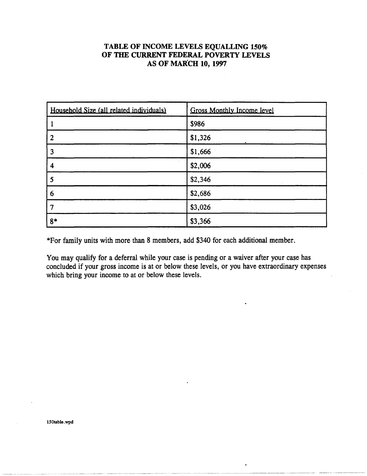#### TABLE OF INCOME LEVELS EQUALLING 150% OF THE CURRENT FEDERAL POVERTY LEVELS AS OF MARCH 10, 1997

| Household Size (all related individuals) | <b>Gross Monthly Income level</b> |
|------------------------------------------|-----------------------------------|
|                                          | \$986                             |
| $\boldsymbol{2}$                         | \$1,326                           |
| 3                                        | \$1,666                           |
| 4                                        | \$2,006                           |
| 5                                        | \$2,346                           |
| 6                                        | \$2,686                           |
|                                          | \$3,026                           |
| $8*$                                     | \$3,366                           |

\*For family units with more than 8 members, add \$340 for each additional member.

You may qualify for a deferral while your case is pending or a waiver after your case has concluded if your gross income is at or below these levels, or you have extraordinary expenses which bring your income to at or below these levels.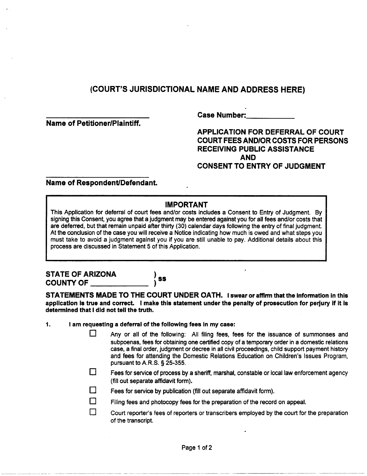Name of Petitioner/Plaintiff.

Case Number:

APPLICATION FOR DEFERRAL OF COURT COURT FEES AND/OR COSTS FOR PERSONS RECEIVING PUBLIC ASSISTANCE AND CONSENT TO ENTRY OF JUDGMENT

Name of Respondent/Defendant.

#### IMPORTANT

This Application for deferral of court fees and/or costs includes a Consent to Entry of Judgment. By signing this Consent, you agree that a judgment may be entered against you for all fees and/or costs that are deferred, but that remain unpaid after thirty (30) calendar days following the entry of final judgment. At the conclusion of the case you will receive a Notice indicating how much is owed and what steps you must take to avoid a judgment against you if you are still unable to pay. Additional details about this process are discussed in Statement 5 of this Application.

# STATE OF ARIZONA<br>COUNTY OF \_\_\_\_\_\_\_\_\_\_\_\_\_\_\_

**SS** 

STATEMENTS MADE TO THE COURT UNDER OATH. I swear or affirm that the information in this application Is true and correct. I make this statement under the penalty of prosecution for perjury if it is determined that I did not tell the truth.

- 1. I am requesting a deferral of the following fees in my case:
	- $\Box$  Any or all of the following: All filing fees, fees for the issuance of summonses and subpoenas, fees for obtaining one certified copy of a temporary order in a domestic relations case, a final order, judgment or decree in all civil proceedings, child support payment history and fees for attending the Domestic Relations Education on Children's Issues Program, pursuant to A.R.S. § 25-355.
	- $\Box$  Fees for service of process by a sheriff, marshal, constable or local law enforcement agency (fill out separate affidavit form).
	- $\square$  Fees for service by publication (fill out separate affidavit form).
	- $\Box$  Filing fees and photocopy fees for the preparation of the record on appeal.
	- $\square$  Court reporter's fees of reporters or transcribers employed by the court for the preparation of the transcript.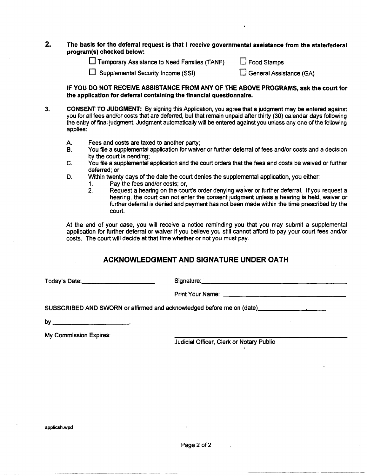#### 2. The basis for the deferral request is that I receive governmental assistance from the state/federal program(s) checked below:

 $\square$  Temporary Assistance to Need Families (TANF)  $\square$  Food Stamps

 $\Box$  Supplemental Security Income (SSI)  $\Box$  General Assistance (GA)

IF YOU DO NOT RECEIVE ASSISTANCE FROM ANY OF THE ABOVE PROGRAMS, ask the court for the application for deferral containing the financial questionnaire.

- 3. CONSENT TO JUDGMENT: By signing this Application, you agree that a judgment may be entered against you for all fees and/or costs that are deferred, but that remain unpaid after thirty (30) calendar days following the entry of final judgment. Judgment automatically will be entered against you unless any one of the following applies:
	- A. Fees and costs are taxed to another party;
	- B. You file a supplemental application for waiver or further deferral of fees and/or costs and a decision by the court is pending;
	- C. You file a supplemental application and the court orders that the fees and costs be waived or further deferred; or
	- D. Within twenty days of the date the court denies the supplemental application, you either:
		- 1. Pay the fees and/or costs; or, .
			- 2. Request a hearing on the court's order denying waiver or further deferral. If you request a hearing, the court can not enter the consent judgment unless a hearing is held, waiver or further deferral is denied and payment has not been made within the time prescribed by the court.

At the end of your case, you will receive a notice reminding you that you may submit a supplemental application for further deferral or waiver if you believe you still cannot afford to pay your court fees and/or costs. The court will decide at that time whether or not you must pay.

#### ACKNOWLEDGMENT AND SIGNATURE UNDER OATH

Today's Date: \_\_\_\_\_\_\_\_ \_ Signature: \_\_\_\_\_\_\_\_\_\_\_\_\_\_\_\_\_ \_

Print Your Name: \_\_\_\_\_\_\_\_\_\_\_\_\_\_\_\_\_\_\_\_\_ \_\_\_

SUBSCRIBED AND SWORN or affirmed and acknowledged before me on (date) \_\_\_\_\_\_\_\_\_\_\_\_\_\_\_\_\_\_\_\_\_\_\_\_\_\_\_\_\_\_

by  $\overline{\phantom{a}}$ 

My Commission Expires:

Judicial Officer, Clerk or Notary Public

~- -~~----------- ---------~~~~.-----~- --~--~---~~ -------~~--------.~-----~--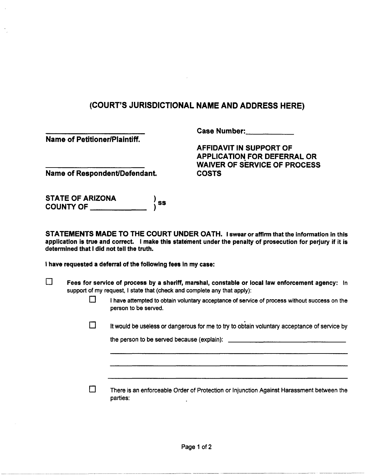Name of Petitioner/Plaintiff.

Case Number:

AFFIDAVIT IN SUPPORT OF APPLICATION FOR DEFERRAL OR WAIVER OF SERVICE OF PROCESS COSTS

Name of Respondent/Defendant

STATE OF ARIZONA COUNTY OF  $\qquad \qquad \qquad$  $\big)$  ss

STATEMENTS MADE TO THE COURT UNDER OATH. I swear or affirm that the information in this application is true and correct. I make this statement under the penalty of prosecution for perjury if it is determined that I did not tell the truth.

I have requested a deferral of the following fees in my case:

- $\square$  Fees for service of process by a sheriff, marshal, constable or local law enforcement agency: In support of my request, I state that (check and complete any that apply):
	- $\Box$  I have attempted to obtain voluntary acceptance of service of process without success on the person to be served.
	- $\square$  It would be useless or dangerous for me to try to obtain voluntary acceptance of service by

the person to be served because (explain):

------- ------------- -- ------------------------ -------~------~-------- ------~~~--~-

D There is an enforceable Order of Protection or Injunction Against Harassment between the parties: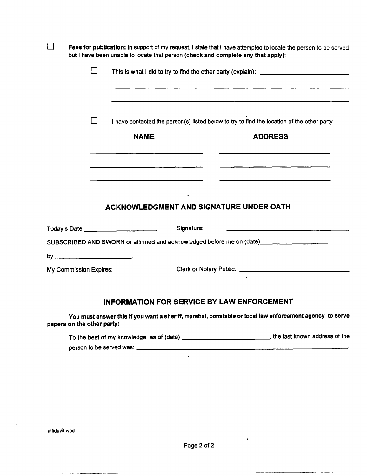| Fees for publication: In support of my request, I state that I have attempted to locate the person to be served<br>but I have been unable to locate that person (check and complete any that apply): |        |                                                        |                                                                                                                       |
|------------------------------------------------------------------------------------------------------------------------------------------------------------------------------------------------------|--------|--------------------------------------------------------|-----------------------------------------------------------------------------------------------------------------------|
|                                                                                                                                                                                                      | $\Box$ |                                                        |                                                                                                                       |
|                                                                                                                                                                                                      |        |                                                        |                                                                                                                       |
|                                                                                                                                                                                                      |        |                                                        |                                                                                                                       |
|                                                                                                                                                                                                      | П      |                                                        | I have contacted the person(s) listed below to try to find the location of the other party.                           |
|                                                                                                                                                                                                      |        | <b>NAME</b>                                            | <b>ADDRESS</b>                                                                                                        |
|                                                                                                                                                                                                      |        |                                                        |                                                                                                                       |
|                                                                                                                                                                                                      |        |                                                        |                                                                                                                       |
|                                                                                                                                                                                                      |        |                                                        |                                                                                                                       |
|                                                                                                                                                                                                      |        | <b>ACKNOWLEDGMENT AND SIGNATURE UNDER OATH</b>         |                                                                                                                       |
|                                                                                                                                                                                                      |        | Today's Date: __________________________<br>Signature: | <u> 1980 - Januar Alemania, matematik amerikan personal personal personal personal personal personal personal per</u> |
|                                                                                                                                                                                                      |        |                                                        | SUBSCRIBED AND SWORN or affirmed and acknowledged before me on (date)___________________                              |
|                                                                                                                                                                                                      |        |                                                        |                                                                                                                       |
| My Commission Expires:                                                                                                                                                                               |        |                                                        |                                                                                                                       |
|                                                                                                                                                                                                      |        |                                                        |                                                                                                                       |
|                                                                                                                                                                                                      |        | <b>INFORMATION FOR SERVICE BY LAW ENFORCEMENT</b>      |                                                                                                                       |
| papers on the other party:                                                                                                                                                                           |        |                                                        | You must answer this if you want a sheriff, marshal, constable or local law enforcement agency to serve               |

To the best of my knowledge, as of (date) \_\_\_\_\_\_\_\_\_\_\_ , the last known address of the To the best of my knowledge, as of (date) \_\_\_\_\_\_\_\_\_\_\_\_\_\_\_\_\_\_\_\_\_\_\_\_\_\_\_\_\_\_\_\_, the last known address of<br>person to be served was:

 $\ddot{\bullet}$ 

affidavit. wpd

l.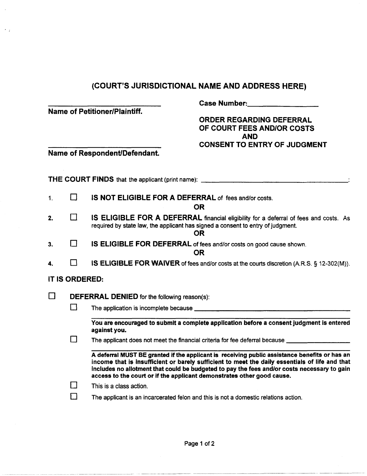| <b>Name of Petitioner/Plaintiff.</b><br>Name of Respondent/Defendant. |                | <b>Case Number:</b><br><b>ORDER REGARDING DEFERRAL</b><br>OF COURT FEES AND/OR COSTS<br><b>AND</b><br><b>CONSENT TO ENTRY OF JUDGMENT</b>                                                                                                                                                                                                                                |  |  |
|-----------------------------------------------------------------------|----------------|--------------------------------------------------------------------------------------------------------------------------------------------------------------------------------------------------------------------------------------------------------------------------------------------------------------------------------------------------------------------------|--|--|
|                                                                       |                | <b>THE COURT FINDS</b> that the applicant (print name): ______________________________                                                                                                                                                                                                                                                                                   |  |  |
| 1.                                                                    | $\Box$         | <b>IS NOT ELIGIBLE FOR A DEFERRAL of fees and/or costs.</b>                                                                                                                                                                                                                                                                                                              |  |  |
|                                                                       |                | <b>OR</b>                                                                                                                                                                                                                                                                                                                                                                |  |  |
| 2.                                                                    | П              | IS ELIGIBLE FOR A DEFERRAL financial eligibility for a deferral of fees and costs. As<br>required by state law, the applicant has signed a consent to entry of judgment.<br><b>OR</b>                                                                                                                                                                                    |  |  |
| 3.                                                                    | П              | IS ELIGIBLE FOR DEFERRAL of fees and/or costs on good cause shown.<br><b>OR</b>                                                                                                                                                                                                                                                                                          |  |  |
| 4.                                                                    | $\mathbf{I}$   | IS ELIGIBLE FOR WAIVER of fees and/or costs at the courts discretion (A.R.S. § 12-302(M)).                                                                                                                                                                                                                                                                               |  |  |
|                                                                       | IT IS ORDERED: |                                                                                                                                                                                                                                                                                                                                                                          |  |  |
| $\Box$                                                                |                | <b>DEFERRAL DENIED</b> for the following reason(s):                                                                                                                                                                                                                                                                                                                      |  |  |
|                                                                       | П              |                                                                                                                                                                                                                                                                                                                                                                          |  |  |
|                                                                       |                | You are encouraged to submit a complete application before a consent judgment is entered<br>against you.                                                                                                                                                                                                                                                                 |  |  |
|                                                                       | l 1            | The applicant does not meet the financial criteria for fee deferral because ________________                                                                                                                                                                                                                                                                             |  |  |
|                                                                       |                | A deferral MUST BE granted if the applicant is receiving public assistance benefits or has an<br>income that is insufficient or barely sufficient to meet the daily essentials of life and that<br>includes no allotment that could be budgeted to pay the fees and/or costs necessary to gain<br>access to the court or if the applicant demonstrates other good cause. |  |  |

 $\Box$  This is a class action.

 $\langle \cdot \rangle$  ,

 $\square$  The applicant is an incarcerated felon and this is not a domestic relations action.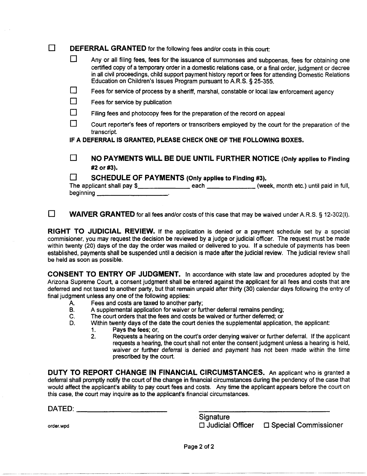| <b>DEFERRAL GRANTED</b> for the following fees and/or costs in this court: |                                                                                                                                                                                                                                                                                                                                                                                              |  |  |
|----------------------------------------------------------------------------|----------------------------------------------------------------------------------------------------------------------------------------------------------------------------------------------------------------------------------------------------------------------------------------------------------------------------------------------------------------------------------------------|--|--|
|                                                                            | Any or all filing fees, fees for the issuance of summonses and subpoenas, fees for obtaining one<br>certified copy of a temporary order in a domestic relations case, or a final order, judgment or decree<br>in all civil proceedings, child support payment history report or fees for attending Domestic Relations<br>Education on Children's Issues Program pursuant to A.R.S. § 25-355. |  |  |
| l 1                                                                        | Fees for service of process by a sheriff, marshal, constable or local law enforcement agency                                                                                                                                                                                                                                                                                                 |  |  |
|                                                                            | Fees for service by publication                                                                                                                                                                                                                                                                                                                                                              |  |  |
| $\Box$                                                                     | Filing fees and photocopy fees for the preparation of the record on appeal                                                                                                                                                                                                                                                                                                                   |  |  |
|                                                                            | Court reporter's fees of reporters or transcribers employed by the court for the preparation of the<br>transcript.                                                                                                                                                                                                                                                                           |  |  |
|                                                                            | IF A DEFERRAL IS GRANTED, PLEASE CHECK ONE OF THE FOLLOWING BOXES.                                                                                                                                                                                                                                                                                                                           |  |  |
| $\mathbf{1}$                                                               | NO PAYMENTS WILL BE DUE UNTIL FURTHER NOTICE (Only applies to Finding<br>#2 or #3).                                                                                                                                                                                                                                                                                                          |  |  |
|                                                                            | SCHEDULE OF PAYMENTS (Only applies to Finding #3).                                                                                                                                                                                                                                                                                                                                           |  |  |
|                                                                            | beginning $\qquad \qquad$                                                                                                                                                                                                                                                                                                                                                                    |  |  |
|                                                                            |                                                                                                                                                                                                                                                                                                                                                                                              |  |  |

**WAIVER GRANTED** for all fees and/or costs of this case that may be waived under A.R.S. § 12-302(I).

RIGHT TO JUDICIAL REVIEW. If the application is denied or a payment schedule set by a special commisioner, you may request the decision be reviewed by a judge or judicial officer. The request must be made within twenty (20) days of the day the order was mailed or delivered to you. If a schedule of payments has been established, payments shall be suspended until a decision is made after the judicial review. The judicial review shall be held as soon as possible.

CONSENT TO ENTRY OF JUDGMENT. In accordance with state law and procedures adopted by the Arizona Supreme Court, a consent judgment shall be entered against the applicant for all fees and costs that are deferred and not taxed to another party, but that remain unpaid after thirty (30) calendar days following the entry of final judgment unless any one of the following applies:

- A. Fees and costs are taxed to another party;
- B. A supplemental application for waiver or further deferral remains pending;
- C. The court orders that the fees and costs be waived or further deferred; or
- D. Within twenty days of the date the court denies the supplemental application, the applicant:
	- 1. Pays the fees; or,
		- 2. Requests a hearing on the court's order denying waiver or further deferral. If the applicant requests a hearing, the court shall not enter the consent judgment unless a hearing is held, waiver or further deferral is denied and payment has not been made within the time prescribed by the court.

DUTY TO REPORT CHANGE IN FINANCIAL CIRCUMSTANCES. An applicant who is granted a deferral shall promptly notify the court of the change in financial circumstances during the pendency of the case that would affect the applicant's ability to pay court fees and costs. Any time the applicant appears before the court on this case, the court may inquire as to the applicant's financial circumstances.

 $\mathsf{DATED}$ :

**Signature** order.wpd **order.wpd order.wpd order.wpd order.wpd order.wpd order.wpd order.wpd** 

--------~-~- ~-------

Page 2 of 2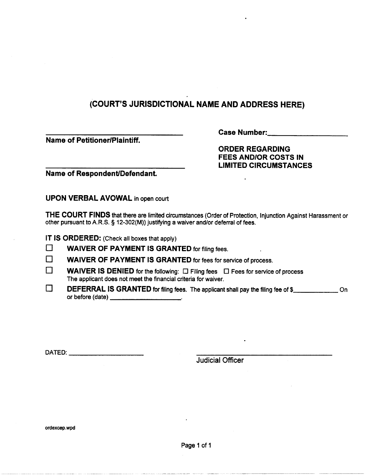**Name of Petitioner/Plaintiff.** 

Case Number:\_\_\_\_\_\_\_\_\_\_\_\_\_\_\_\_\_\_\_

**ORDER REGARDING FEES AND/OR COSTS IN LIMITED CIRCUMSTANCES** 

**Name of Respondent/Defendant.** 

**UPON VERBAL AVOWAL** in open court

**THE COURT FINDS** that there are limited circumstances (Order of Protection, Injunction Against Harassment or other pursuant to A.R.S. § 12-302(M)) justifying a waiver and/or deferral of fees.

**IT IS ORDERED:** (Check all boxes that apply)

| $\Box$ | <b>WAIVER OF PAYMENT IS GRANTED for filing fees.</b> |  |
|--------|------------------------------------------------------|--|

**WAIVER OF PAYMENT IS GRANTED** for fees for service of process.

- $\Box$ WAIVER IS DENIED for the following:  $\Box$  Filing fees  $\Box$  Fees for service of process The applicant does not meet the financial criteria for waiver.
- $\Box$ The applicant does not meet the infancial chiena for waiver.<br>**DEFERRAL IS GRANTED** for filing fees. The applicant shall pay the filing fee of \$\_\_\_\_\_\_\_\_\_\_\_\_\_\_On **DEFERRAL IS GRANTED for filing fe**<br>or before (date) \_\_\_\_\_\_\_\_\_\_\_\_\_\_\_\_\_\_\_\_\_\_\_

DATED: \_\_\_\_\_\_\_\_\_\_\_\_\_\_ \_\_

Judicial Officer

ordexcep.wpd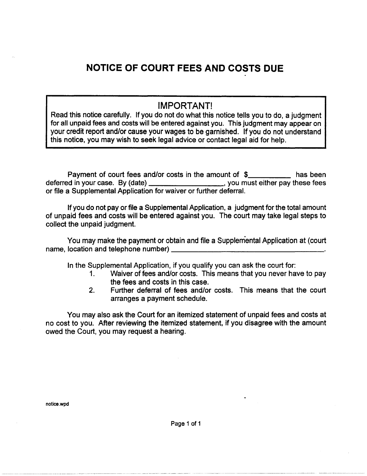### **NOTICE OF COURT FEES AND COSTS DUE**

#### IMPORTANT!

Read this notice carefully. If you do not do what this notice tells you to do, a judgment for all unpaid fees and costs will be entered against you. This judgment may appear on your credit report and/or cause your wages to be garnished. If you do not understand this notice, you may wish to seek legal advice or contact legal aid for help.

Payment of court fees and/or costs in the amount of \$ deferred in your case. By (date) \_\_\_\_\_\_\_\_\_\_\_\_\_\_\_\_\_\_\_\_\_\_, you must either pay these fees or file a Supplemental Application for waiver or further deferral.

If you do not pay or file a Supplemental Application, a judgment for the total amount of unpaid fees and costs will be entered against you. The court may take legal steps to collect the unpaid judgment.

You may make the payment or obtain and file a Supplemental Application at (court name, location and telephone number) \_\_\_\_\_\_\_\_\_\_\_\_\_\_\_\_ \_

In the Supplemental Application, if you qualify you can ask the court for:

- 1. Waiver of fees and/or costs. This means that you never have to pay the fees and costs in this case.
- 2. Further deferral of fees and/or costs. This means that the court arranges a payment schedule.

You may also ask the Court for an itemized statement of unpaid fees and costs at no cost to you. After reviewing the itemized statement, if you disagree with the amount owed the Court, you may request a hearing.

notice.wpd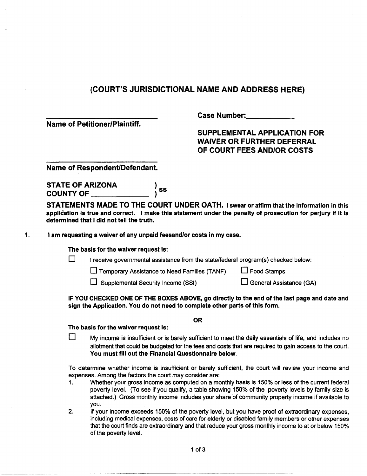Name of Petitioner/Plaintiff.

Case Number:

SUPPLEMENTAL APPLICATION FOR WAIVER OR FURTHER DEFERRAL OF COURT FEES AND/OR COSTS

Name of Respondent/Defendant.

STATE OF ARIZONA  $\begin{array}{c} \text{S} \\ \text{S} \end{array}$ )

STATEMENTS MADE TO THE COURT UNDER OATH. I swear or affirm that the information in this application is true and correct. I make this statement under the penalty of prosecution for perjury if it is determined that I did not tell the truth.

1. I am requesting a waiver of any unpaid feesand/or costs in my case.

#### The basis for the waiver request is:

 $\square$  I receive governmental assistance from the state/federal program(s) checked below:

 $\square$  Temporary Assistance to Need Families (TANF)  $\square$  Food Stamps

 $\Box$  Supplemental Security Income (SSI)  $\Box$  General Assistance (GA)

IF YOU CHECKED ONE OF THE BOXES ABOVE, go directly to the end of the last page and date and sign the Application. You do not need to complete other parts of this form.

OR

#### The basis for the waiver request is:

 $\square$  My income is insufficient or is barely sufficient to meet the daily essentials of life, and includes no allotment that could be budgeted for the fees and costs that are required to gain access to the court. You must fill out the Financial Questionnaire below.

To determine whether income is insufficient or barely sufficient, the court will review your income and expenses. Among the factors the court may consider are:

- 1. Whether your gross income as computed on a monthly basis is 150% or less of the current federal poverty level. (To see if you qualify, a table showing 150% of the poverty levels by family size is attached.) Gross monthly income includes your share of community property income if available to you.
- 2. If your income exceeds 150% of the poverty level, but you have proof of extraordinary expenses, including medical expenses, costs of care for elderly or disabled family members or other expenses that the court finds are extraordinary and that reduce your gross monthly income to at or below 150% of the poverty level.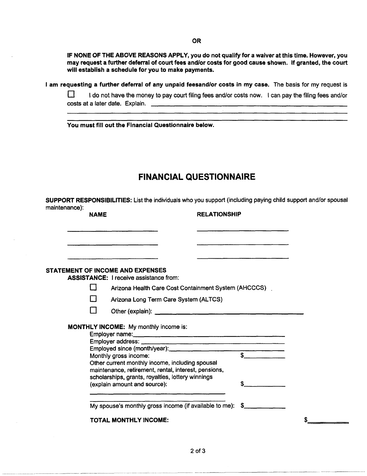OR

IF NONE OF THE ABOVE REASONS APPLY, you do not qualify for a waiver at this time. However, you may request a further deferral of court fees andlor costs for good cause shown. If granted, the court will establish a schedule for you to make payments.

I am requesting a further deferral of any unpaid feesand/or costs in my case. The basis for my request is

 $\Box$  I do not have the money to pay court filing fees and/or costs now. I can pay the filing fees and/or costs at a later date. Explain.

You must fill out the Financial Questionnaire below.

#### **FINANCIAL QUESTIONNAIRE**

SUPPORT RESPONSIBILITIES: List the individuals who you support (including paying child support andlor spousal maintenance):

| <b>NAME</b> |                                                                                                                                                              | <b>RELATIONSHIP</b> |                                                                                                                       |  |
|-------------|--------------------------------------------------------------------------------------------------------------------------------------------------------------|---------------------|-----------------------------------------------------------------------------------------------------------------------|--|
|             |                                                                                                                                                              |                     | <u> 1980 - Andrea Andrea Andrea Andrea Andrea Andrea Andrea Andrea Andrea Andrea Andrea Andrea Andrea Andrea Andr</u> |  |
|             | STATEMENT OF INCOME AND EXPENSES                                                                                                                             |                     |                                                                                                                       |  |
|             | <b>ASSISTANCE: I receive assistance from:</b>                                                                                                                |                     |                                                                                                                       |  |
|             | Arizona Health Care Cost Containment System (AHCCCS)                                                                                                         |                     |                                                                                                                       |  |
|             | Arizona Long Term Care System (ALTCS)                                                                                                                        |                     |                                                                                                                       |  |
|             |                                                                                                                                                              |                     |                                                                                                                       |  |
|             | <b>MONTHLY INCOME:</b> My monthly income is:                                                                                                                 |                     |                                                                                                                       |  |
|             |                                                                                                                                                              |                     |                                                                                                                       |  |
|             |                                                                                                                                                              |                     |                                                                                                                       |  |
|             | Monthly gross income:                                                                                                                                        |                     |                                                                                                                       |  |
|             | Other current monthly income, including spousal<br>maintenance, retirement, rental, interest, pensions,<br>scholarships, grants, royalties, lottery winnings |                     |                                                                                                                       |  |
|             | (explain amount and source):                                                                                                                                 |                     | S.                                                                                                                    |  |
|             | My spouse's monthly gross income (if available to me): \$                                                                                                    |                     |                                                                                                                       |  |
|             | <b>TOTAL MONTHLY INCOME:</b>                                                                                                                                 |                     |                                                                                                                       |  |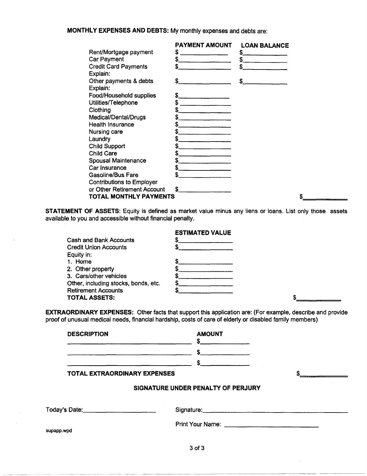**MONTHLY EXPENSES AND DEBTS:** My monthly expenses and debts are:

|                                  | <b>PAYMENT AMOUNT</b> | <b>LOAN BALANCE</b> |  |
|----------------------------------|-----------------------|---------------------|--|
| Rent/Mortgage payment            | S                     | S                   |  |
| Car Payment                      |                       | S                   |  |
| <b>Credit Card Payments</b>      | S                     | S                   |  |
| Explain:                         |                       |                     |  |
| Other payments & debts           | S                     | S                   |  |
| Explain:                         |                       |                     |  |
| Food/Household supplies          | S.                    |                     |  |
| Utilities/Telephone              |                       |                     |  |
| Clothing                         |                       |                     |  |
| Medical/Dental/Drugs             |                       |                     |  |
| <b>Health Insurance</b>          |                       |                     |  |
| Nursing care                     |                       |                     |  |
| <b>Laundry</b>                   |                       |                     |  |
| <b>Child Support</b>             |                       |                     |  |
| <b>Child Care</b>                |                       |                     |  |
| <b>Spousal Maintenance</b>       |                       |                     |  |
| Car Insurance                    |                       |                     |  |
| <b>Gasoline/Bus Fare</b>         | \$                    |                     |  |
| <b>Contributions to Employer</b> |                       |                     |  |
| or Other Retirement Account      | S                     |                     |  |
| TOTAL MONTHLY PAYMENTS           |                       |                     |  |
|                                  |                       |                     |  |

**STATEMENT OF ASSETS:** Equity is defined as market value minus any liens or loans. List only those assets available to you and accessible without financial penalty.

| <b>ESTIMATED VALUE</b>               |  |
|--------------------------------------|--|
| Cash and Bank Accounts               |  |
| <b>Credit Union Accounts</b>         |  |
| Equity in:                           |  |
| 1. Home                              |  |
| 2. Other property                    |  |
| 3. Cars/other vehicles               |  |
| Other, including stocks, bonds, etc. |  |
| <b>Retirement Accounts</b>           |  |
| <b>TOTAL ASSETS:</b>                 |  |

**EXTRAORDINARY EXPENSES:** Other facts that support this application are: (For example, describe and provide proof of unusual medical needs, financial hardship, costs of care of elderly or disabled family members)

| <b>DESCRIPTION</b>           | <b>AMOUNT</b>                                                                                                                                                                                                                  |  |
|------------------------------|--------------------------------------------------------------------------------------------------------------------------------------------------------------------------------------------------------------------------------|--|
|                              | $\frac{1}{2}$                                                                                                                                                                                                                  |  |
|                              | $\frac{1}{2}$                                                                                                                                                                                                                  |  |
| TOTAL EXTRAORDINARY EXPENSES |                                                                                                                                                                                                                                |  |
|                              | SIGNATURE UNDER PENALTY OF PERJURY                                                                                                                                                                                             |  |
|                              | Signature: Signature: Signature: Signature: Signature: Signature: Signature: Signature: Signature: Signature: Signature: Signature: Signature: Signature: Signature: Signature: Signature: Signature: Signature: Signature: Si |  |
| supapp.wpd                   |                                                                                                                                                                                                                                |  |
|                              | $3$ of $3$                                                                                                                                                                                                                     |  |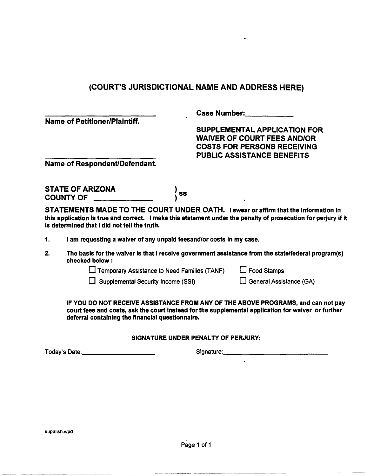Name of Petitioner/Plaintiff.

Case Number: \_\_\_\_ \_

SUPPLEMENTAL APPLICATION FOR WAIVER OF COURT FEES AND/OR COSTS FOR PERSONS RECEIVING PUBLIC ASSISTANCE BENEFITS

Name of Respondent/Defendant.

STATE OF ARIZONA COUNTY OF \_\_\_\_  $\frac{1}{2}$  ss

STATEMENTS MADE TO THE COURT UNDER OATH. I swear or affirm that the information in this application is true and correct. I make this statement under the penalty of prosecution for perjury if it is determined that I did not tell the truth.

1. I am requesting a waiver of any unpaid feesand/or costs in my case.

2. The basis for the waiver is that I receive government assistance from the statelfederal program(s) checked below:

 $\square$  Temporary Assistance to Need Families (TANF)  $\square$  Food Stamps

 $\Box$  Supplemental Security Income (SSI)  $\Box$  General Assistance (GA)

IF YOU DO NOT RECEIVE ASSISTANCE FROM ANY OF THE ABOVE PROGRAMS, and can not pay court fees and costs, ask the court instead for the supplemental application for waiver or further deferral containing the financial questionnaire.

#### SIGNATURE UNDER PENALTY OF PERJURY:

Today's Date: \_\_\_\_\_\_\_ \_ Signature: \_\_\_\_\_\_\_\_\_\_\_ \_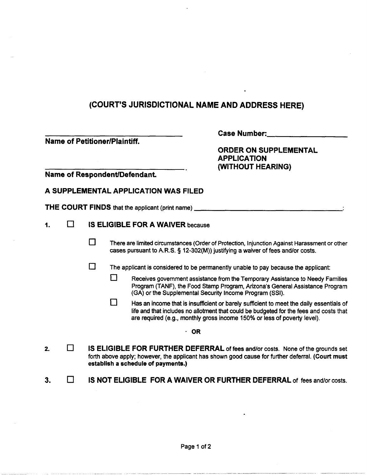|    | <b>Name of Petitioner/Plaintiff.</b> |        |   |                                         | <b>Case Number:</b><br><b>ORDER ON SUPPLEMENTAL</b><br><b>APPLICATION</b><br>(WITHOUT HEARING)                                                                                                                                                                |
|----|--------------------------------------|--------|---|-----------------------------------------|---------------------------------------------------------------------------------------------------------------------------------------------------------------------------------------------------------------------------------------------------------------|
|    |                                      |        |   | Name of Respondent/Defendant.           |                                                                                                                                                                                                                                                               |
|    |                                      |        |   | A SUPPLEMENTAL APPLICATION WAS FILED    |                                                                                                                                                                                                                                                               |
|    |                                      |        |   |                                         | <b>THE COURT FINDS</b> that the applicant (print name) _______________________________                                                                                                                                                                        |
| 1. | $\Box$                               |        |   | <b>IS ELIGIBLE FOR A WAIVER because</b> |                                                                                                                                                                                                                                                               |
|    |                                      | П      |   |                                         | There are limited circumstances (Order of Protection, Injunction Against Harassment or other<br>cases pursuant to A.R.S. § 12-302(M)) justifying a waiver of fees and/or costs.                                                                               |
|    |                                      | $\Box$ |   |                                         | The applicant is considered to be permanently unable to pay because the applicant:                                                                                                                                                                            |
|    |                                      |        | Н |                                         | Receives government assistance from the Temporary Assistance to Needy Families<br>Program (TANF), the Food Stamp Program, Arizona's General Assistance Program<br>(GA) or the Supplemental Security Income Program (SSI).                                     |
|    |                                      |        | П |                                         | Has an income that is insufficient or barely sufficient to meet the daily essentials of<br>life and that includes no allotment that could be budgeted for the fees and costs that<br>are required (e.g., monthly gross income 150% or less of poverty level). |
|    |                                      |        |   | $\cdot$ OR                              |                                                                                                                                                                                                                                                               |
| 2. | ⊓                                    |        |   | establish a schedule of payments.)      | IS ELIGIBLE FOR FURTHER DEFERRAL of fees and/or costs. None of the grounds set<br>forth above apply; however, the applicant has shown good cause for further deferral. (Court must                                                                            |
| 3. |                                      |        |   |                                         | <b>IS NOT ELIGIBLE FOR A WAIVER OR FURTHER DEFERRAL of fees and/or costs.</b>                                                                                                                                                                                 |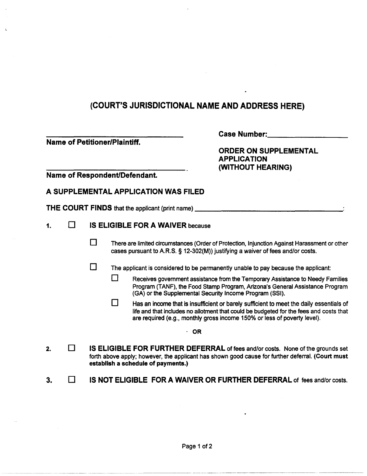$\ddot{\phantom{1}}$ 

 $\bullet$ 

| <b>Name of Petitioner/Plaintiff.</b><br>Name of Respondent/Defendant. |                |        | <b>Case Number:</b><br><b>ORDER ON SUPPLEMENTAL</b><br><b>APPLICATION</b><br>(WITHOUT HEARING) |                                                           |                                                                                                                                                                                                                                                               |
|-----------------------------------------------------------------------|----------------|--------|------------------------------------------------------------------------------------------------|-----------------------------------------------------------|---------------------------------------------------------------------------------------------------------------------------------------------------------------------------------------------------------------------------------------------------------------|
|                                                                       |                |        |                                                                                                |                                                           |                                                                                                                                                                                                                                                               |
|                                                                       |                |        |                                                                                                | A SUPPLEMENTAL APPLICATION WAS FILED                      |                                                                                                                                                                                                                                                               |
|                                                                       |                |        |                                                                                                | <b>THE COURT FINDS</b> that the applicant (print name) __ |                                                                                                                                                                                                                                                               |
| 1.                                                                    | l 1            |        |                                                                                                | <b>IS ELIGIBLE FOR A WAIVER because</b>                   |                                                                                                                                                                                                                                                               |
|                                                                       |                | $\Box$ |                                                                                                |                                                           | There are limited circumstances (Order of Protection, Injunction Against Harassment or other<br>cases pursuant to A.R.S. § 12-302(M)) justifying a waiver of fees and/or costs.                                                                               |
|                                                                       |                | $\Box$ |                                                                                                |                                                           | The applicant is considered to be permanently unable to pay because the applicant:                                                                                                                                                                            |
|                                                                       |                |        | łΙ                                                                                             |                                                           | Receives government assistance from the Temporary Assistance to Needy Families<br>Program (TANF), the Food Stamp Program, Arizona's General Assistance Program<br>(GA) or the Supplemental Security Income Program (SSI).                                     |
|                                                                       |                |        | 1                                                                                              |                                                           | Has an income that is insufficient or barely sufficient to meet the daily essentials of<br>life and that includes no allotment that could be budgeted for the fees and costs that<br>are required (e.g., monthly gross income 150% or less of poverty level). |
|                                                                       |                |        |                                                                                                |                                                           | <b>OR</b>                                                                                                                                                                                                                                                     |
| 2.                                                                    | $\blacksquare$ |        |                                                                                                | establish a schedule of payments.)                        | IS ELIGIBLE FOR FURTHER DEFERRAL of fees and/or costs. None of the grounds set<br>forth above apply; however, the applicant has shown good cause for further deferral. (Court must                                                                            |
| 3.                                                                    |                |        |                                                                                                |                                                           | IS NOT ELIGIBLE FOR A WAIVER OR FURTHER DEFERRAL of fees and/or costs.                                                                                                                                                                                        |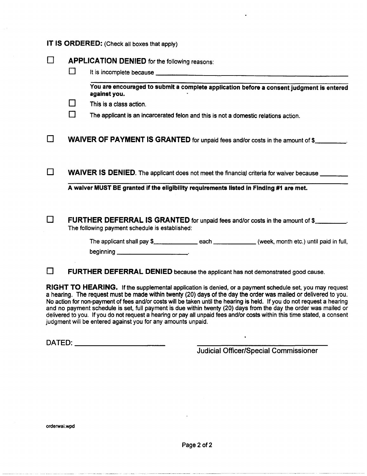#### IT IS ORDERED: (Check all boxes that apply)

|                          | <b>APPLICATION DENIED</b> for the following reasons:                                                                                                                                                                                 |  |                                                                                          |  |  |  |  |
|--------------------------|--------------------------------------------------------------------------------------------------------------------------------------------------------------------------------------------------------------------------------------|--|------------------------------------------------------------------------------------------|--|--|--|--|
| $\mathbf{1}$             | It is incomplete because <u>the community of the contract of the contract of the contract of the contract of the contract of the contract of the contract of the contract of the contract of the contract of the contract of the</u> |  |                                                                                          |  |  |  |  |
|                          | against you.                                                                                                                                                                                                                         |  | You are encouraged to submit a complete application before a consent judgment is entered |  |  |  |  |
| $\sim$                   | This is a class action.                                                                                                                                                                                                              |  |                                                                                          |  |  |  |  |
| $\overline{\phantom{a}}$ | The applicant is an incarcerated felon and this is not a domestic relations action.                                                                                                                                                  |  |                                                                                          |  |  |  |  |
|                          | WAIVER OF PAYMENT IS GRANTED for unpaid fees and/or costs in the amount of \$                                                                                                                                                        |  |                                                                                          |  |  |  |  |
|                          | WAIVER IS DENIED. The applicant does not meet the financial criteria for waiver because ______                                                                                                                                       |  |                                                                                          |  |  |  |  |
|                          | A waiver MUST BE granted if the eligibility requirements listed in Finding #1 are met.                                                                                                                                               |  |                                                                                          |  |  |  |  |
|                          | FURTHER DEFERRAL IS GRANTED for unpaid fees and/or costs in the amount of \$<br>The following payment schedule is established:                                                                                                       |  |                                                                                          |  |  |  |  |
|                          | beginning $\qquad \qquad$                                                                                                                                                                                                            |  |                                                                                          |  |  |  |  |
|                          | FURTHER DEFERRAL DENIED because the applicant has not demonstrated good cause.                                                                                                                                                       |  |                                                                                          |  |  |  |  |

RIGHT TO HEARING. If the supplemental application is denied, or a payment schedule set, you may request a hearing. The request must be made within twenty (20) days of the day the order was mailed or delivered to you. No action for non-payment of fees and/or costs will be taken until the hearing is held. If you do not request a hearing and no payment schedule is set, full payment is due within twenty (20) days from the day the order was mailed or delivered to you. If you do not request a hearing or pay all unpaid fees and/or costs within this time stated, a consent judgment will be entered against you for any amounts unpaid.

DATED: \_\_\_\_\_\_\_\_\_\_\_\_\_\_\_\_\_\_\_\_\_\_\_

Judicial Officer/Special Commissioner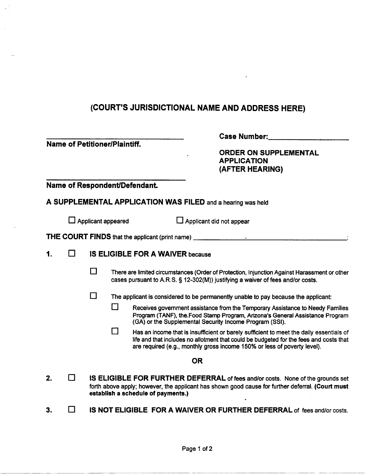|    |     |                                         | <b>Name of Petitioner/Plaintiff.</b> | <b>Case Number:</b><br><b>ORDER ON SUPPLEMENTAL</b><br><b>APPLICATION</b><br>(AFTER HEARING)                                                                                                                                                                  |
|----|-----|-----------------------------------------|--------------------------------------|---------------------------------------------------------------------------------------------------------------------------------------------------------------------------------------------------------------------------------------------------------------|
|    |     |                                         | Name of Respondent/Defendant.        |                                                                                                                                                                                                                                                               |
|    |     |                                         |                                      | A SUPPLEMENTAL APPLICATION WAS FILED and a hearing was held                                                                                                                                                                                                   |
|    |     |                                         | $\Box$ Applicant appeared            | Applicant did not appear                                                                                                                                                                                                                                      |
|    |     |                                         |                                      | THE COURT FINDS that the applicant (print name) ________________________________                                                                                                                                                                              |
| 1. | - 1 | <b>IS ELIGIBLE FOR A WAIVER because</b> |                                      |                                                                                                                                                                                                                                                               |
|    |     | П                                       |                                      | There are limited circumstances (Order of Protection, Injunction Against Harassment or other<br>cases pursuant to A.R.S. § 12-302(M)) justifying a waiver of fees and/or costs.                                                                               |
|    |     | П                                       |                                      | The applicant is considered to be permanently unable to pay because the applicant:                                                                                                                                                                            |
|    |     |                                         | ΙI                                   | Receives government assistance from the Temporary Assistance to Needy Families<br>Program (TANF), the Food Stamp Program, Arizona's General Assistance Program<br>(GA) or the Supplemental Security Income Program (SSI).                                     |
|    |     |                                         | $\mathsf{I}$                         | Has an income that is insufficient or barely sufficient to meet the daily essentials of<br>life and that includes no allotment that could be budgeted for the fees and costs that<br>are required (e.g., monthly gross income 150% or less of poverty level). |
|    |     |                                         |                                      | <b>OR</b>                                                                                                                                                                                                                                                     |
| 2. | m.  |                                         | establish a schedule of payments.)   | IS ELIGIBLE FOR FURTHER DEFERRAL of fees and/or costs. None of the grounds set<br>forth above apply; however, the applicant has shown good cause for further deferral. (Court must                                                                            |
| 3. |     |                                         |                                      | IS NOT ELIGIBLE FOR A WAIVER OR FURTHER DEFERRAL of fees and/or costs.                                                                                                                                                                                        |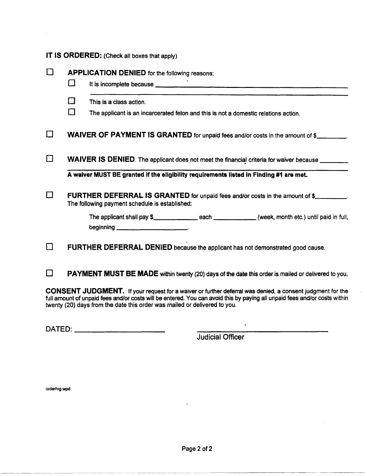|              |        | IT IS ORDERED: (Check all boxes that apply)                                                                                                                                                                                                                                                |
|--------------|--------|--------------------------------------------------------------------------------------------------------------------------------------------------------------------------------------------------------------------------------------------------------------------------------------------|
| l 1          | ⊔      | <b>APPLICATION DENIED for the following reasons:</b><br>It is incomplete because <u>experience</u> and the set of the set of the set of the set of the set of the set of the set of the set of the set of the set of the set of the set of the set of the set of the set of the set of the |
|              | $\Box$ | This is a class action.                                                                                                                                                                                                                                                                    |
|              | $\Box$ | The applicant is an incarcerated felon and this is not a domestic relations action.                                                                                                                                                                                                        |
|              |        | <b>WAIVER OF PAYMENT IS GRANTED</b> for unpaid fees and/or costs in the amount of \$                                                                                                                                                                                                       |
| l 1          |        | WAIVER IS DENIED. The applicant does not meet the financial criteria for waiver because ________                                                                                                                                                                                           |
|              |        | A waiver MUST BE granted if the eligibility requirements listed in Finding #1 are met.                                                                                                                                                                                                     |
|              |        | <b>FURTHER DEFERRAL IS GRANTED for unpaid fees and/or costs in the amount of \$________.</b><br>The following payment schedule is established:                                                                                                                                             |
|              |        |                                                                                                                                                                                                                                                                                            |
| $\mathbf{1}$ |        | FURTHER DEFERRAL DENIED because the applicant has not demonstrated good cause.                                                                                                                                                                                                             |
|              |        | <b>PAYMENT MUST BE MADE</b> within twenty (20) days of the date this order is mailed or delivered to you.                                                                                                                                                                                  |

CONSENT JUDGMENT. If your request for a waiver or further deferral was denied, a consent judgment for the full amount of unpaid fees and/or costs will be entered. You can avoid this by paying all unpaid fees and/or costs within twenty (20) days from the date this order was mailed or delivered to you.

DATED: \_\_\_\_\_\_\_\_\_\_\_\_\_\_\_\_ \_

Judicial Officer

 $\bullet$ 

orderhrg.wpd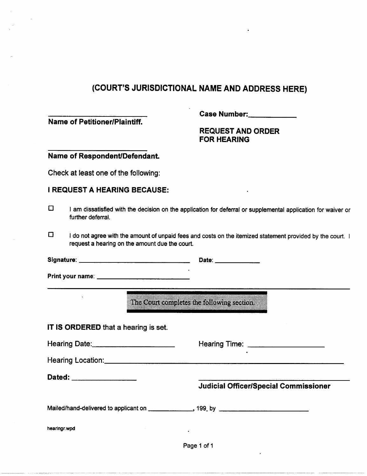#### Name of Petitioner/Plaintiff.

Case Number: \_\_\_\_ \_

#### REQUEST AND ORDER FOR HEARING

#### Name of Respondent/Defendant.

Check at least one of the following:

#### I REQUEST A HEARING BECAUSE:

- o I am dissatisfied with the decision on the application for deferral or supplemental application for waiver or further deferral.
- $\Box$  I do not agree with the amount of unpaid fees and costs on the itemized statement provided by the court. I request a hearing on the amount due the court.

Signature: \_\_\_\_\_\_\_\_\_\_\_ \_ Date: \_\_\_\_ \_

Print your name: \_\_\_\_\_\_\_\_\_ \_

The Court completes the following section.

#### IT IS ORDERED that a hearing is set.

| Hearing Date: | <b>Hearing Time:</b> |
|---------------|----------------------|

Hearing Location: \_\_\_\_\_\_\_\_\_\_\_\_\_\_\_\_\_\_\_\_\_\_\_\_\_\_ \_

Dated: \_\_\_\_\_\_\_\_\_\_\_\_\_\_\_\_\_

Judicial Officer/Special Commissioner

Mailed/hand-delivered to applicant on \_\_\_\_\_\_\_\_\_\_\_\_\_\_\_, 199\_ by \_\_\_\_\_\_\_\_\_\_\_\_\_\_\_\_\_

hearingr.wpd

Page 1 of 1

 $\ddot{\phantom{a}}$